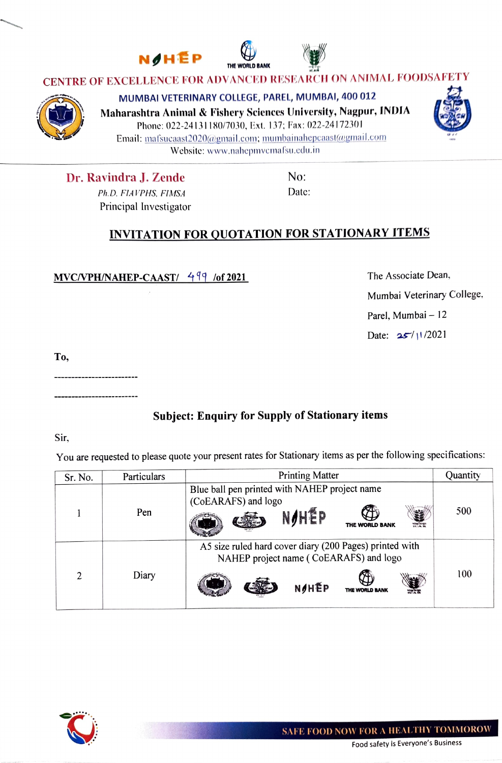



## CENTRE OF EXCELLENCE FOR ADVANCED RESEARCH ON ANIMAL FOODSAFETY



MUMBAI VETERINARY COLLEGE, PAREL, MUMBAI, 400 012

Maharashtra Animal& Fishery Sciences University, Nagpur, INDIA

Phone: 022-24131 180/7030, Ext. 137; Fax: 022-24172301 Email: mafsucaast2020@gmail.com; mumbainahepcaast@gmail.com Websitc: www.nahepmvemafsu.edu.in

Dr. Ravindra J. Zende No: Ph.D. FIAVPHS. FIMSA Date: Principal Investigator

## INVITATION FOR QUOTATION FOR STATIONARY ITEMS

MVC/VPH/NAHEP-CAAST/ 499 /of 2021 The Associate Dean,

Mumbai Veterinary College. Parel, Mumbai - 12 Date: 25/11/2021

To,

\_\_\_\_\_\_\_\_\_\_

## Subject: Enquiry for Supply of Stationary items

Sir,

You are requested to please quote your present rates for Stationary items as per the following specifications:

| Sr. No.                     | <b>Particulars</b> | <b>Printing Matter</b>                                                                                                       | Quantity |
|-----------------------------|--------------------|------------------------------------------------------------------------------------------------------------------------------|----------|
|                             | Pen                | Blue ball pen printed with NAHEP project name<br>(CoEARAFS) and logo<br><b>NOHEP</b><br>THE WORLD BANK                       | 500      |
| $\mathcal{D}_{\mathcal{L}}$ | Diary              | A5 size ruled hard cover diary (200 Pages) printed with<br>NAHEP project name (CoEARAFS) and logo<br>NOHEP<br>THE WORLD BANK | 100      |

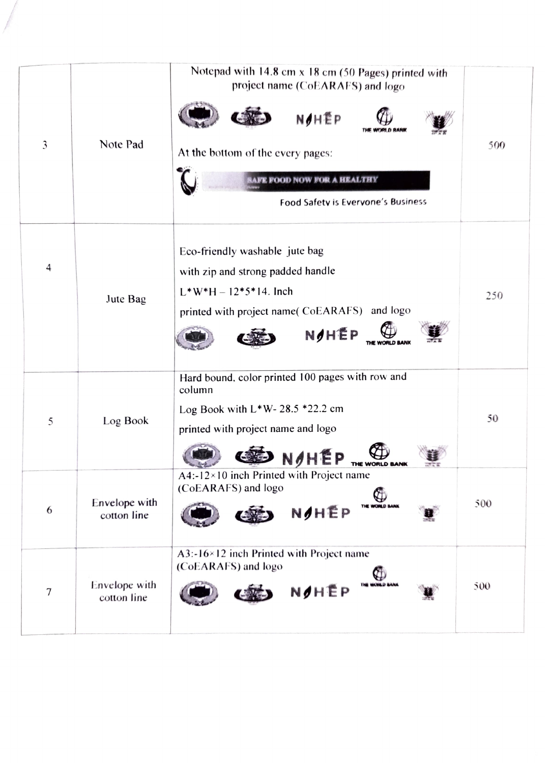| 3      | Note Pad                     | Notepad with $14.8$ cm $x$ 18 cm (50 Pages) printed with<br>project name (CoEARAFS) and logo<br>NOHẾP<br>At the bottom of the every pages:<br>RAFE FOOD NOW FOR A HEALTHY<br>Food Safety is Everyone's Business | 500 |
|--------|------------------------------|-----------------------------------------------------------------------------------------------------------------------------------------------------------------------------------------------------------------|-----|
| 4      | Jute Bag                     | Eco-friendly washable jute bag<br>with zip and strong padded handle<br>$L^*W^*H - 12*5*14$ . Inch<br>printed with project name( CoEARAFS) and logo<br>NOHEP                                                     | 250 |
| 5      | Log Book                     | Hard bound, color printed 100 pages with row and<br>column<br>Log Book with $L^*W - 28.5 * 22.2$ cm<br>printed with project name and logo<br>NOHEP<br>THE WORLD BANK                                            | 50  |
| 6      | Envelope with<br>cotton line | $A4:12\times10$ inch Printed with Project name<br>(CoEARAFS) and logo<br>THE WORLD BANK<br>NOHEP                                                                                                                | 500 |
| $\tau$ | Envelope with<br>cotton line | A3:-16×12 inch Printed with Project name<br>(CoEARAFS) and logo<br>$\bigoplus$<br>NOHEP                                                                                                                         | 500 |